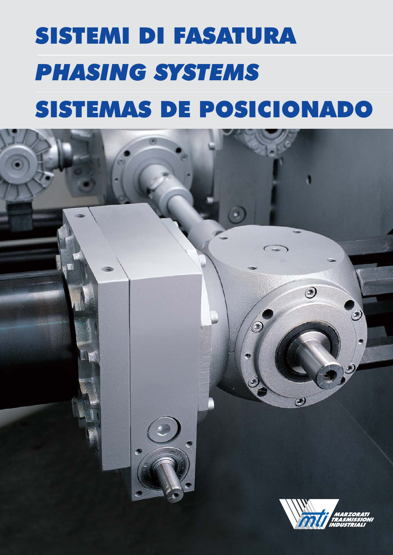# SISTEMI DI FASATURA *PHASING SYSTEMS* SISTEMAS DE POSICIONADO

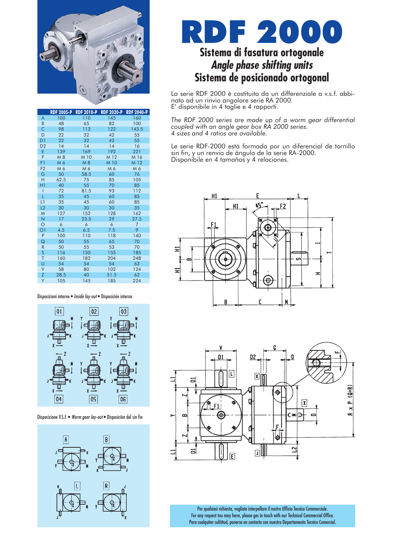

|                | <b>RDF 2005-P</b> | <b>RDF 2010-P</b> | <b>RDF 2020-P</b> | <b>RDF 2040-P</b> |  |  |  |
|----------------|-------------------|-------------------|-------------------|-------------------|--|--|--|
| A              | 100               | 110               | 145               | 160               |  |  |  |
| B              | 48                | 65                | 82                | 100               |  |  |  |
| C              | 98                | 113               | 122               | 143.5             |  |  |  |
| D              | 22                | 32                | 42                | 55                |  |  |  |
| D1             | 22                | 32                | 42                | 55                |  |  |  |
| D <sub>2</sub> | 14                | 14                | 14                | 16                |  |  |  |
| E              | 139               | 169               | 192               | 221               |  |  |  |
| F              | M 8               | M 10              | M 12              | M 16              |  |  |  |
| F1             | M 6               | M 8               | M 10              | M 12              |  |  |  |
| F <sub>2</sub> | M 6               | M 6               | M 6               | M6                |  |  |  |
| G              | 50                | 58.5              | 60                | 76                |  |  |  |
| H              | 62.5              | 75                | 85                | 105               |  |  |  |
| H1             | 40                | 55                | 70                | 85                |  |  |  |
| Ī              | 72                | 81.5              | 93                | 112               |  |  |  |
| L              | 35                | 45                | 60                | 85                |  |  |  |
| L1             | 35                | 45                | 60                | 85                |  |  |  |
| L2             | 30                | 30                | 30                | 35                |  |  |  |
| M              | 127               | 152               | 128               | 162               |  |  |  |
| N              | 17                | 23.5              | 29                | 27.5              |  |  |  |
| $\circ$        | 6                 | 6                 | 6                 | $\overline{7}$    |  |  |  |
| O <sub>1</sub> | 4.5               | 6.5               | 7.5               | 9                 |  |  |  |
| P              | 100               | 110               | 118               | 140               |  |  |  |
| Q              | 50                | 55                | 65                | 70                |  |  |  |
| $\mathsf{R}$   | 50                | 55                | 53                | 70                |  |  |  |
| S              | 116               | 130               | 155               | 185               |  |  |  |
| T              | 160               | 182               | 204               | 248               |  |  |  |
| Ù              | 54                | 54                | 54                | 63<br>124         |  |  |  |
| V              | 58                | 80                | 102               |                   |  |  |  |
| Ζ              | 28.5              | 40                | 51.5              |                   |  |  |  |
| Y              | 105               | 145               | 185               | 224               |  |  |  |

#### Disposizioni interne • *Inside lay-out* • Disposición interna



#### Disposizione V.S.F. • *Worm gear lay-out* • Disposición del sin fin



### DF 200 **Sistema di fasatura ortogonale** *Angle phase shifting units* **Sistema de posicionado ortogonal**

La serie RDF 2000 è costituita da un differenziale a v.s.f. abbinato ad un rinvio angolare serie RA 2000. E' disponibile in 4 taglie e 4 rapporti.

*The RDF 2000 series are made up of a worm gear differential coupled with an angle gear box RA 2000 series. 4 sizes and 4 ratios are available.*

Le serie RDF-2000 está formada por un diferencial de tornillo sin fin, y un renvio de ángulo de la serie RA-2000. Disponibile en 4 tamaños y 4 relaciones.





Per qualsiasi richiesta, vogliate interpellare il nostro Ufficio Tecnico Commerciale. For any request tou may have, please ges in touch with our Technical Commercial Office. Para cualquiter solititud, ponerse en contacto con nuestro Departamento Tecnico Comercial.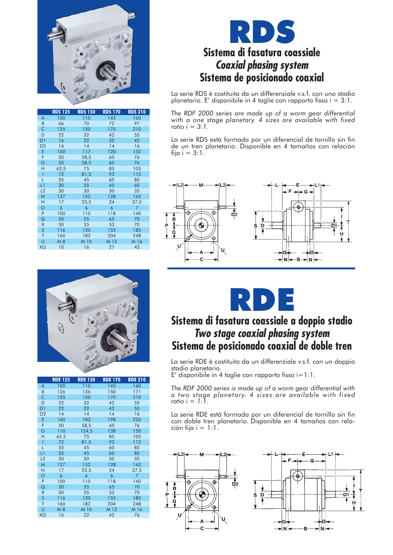

|                | <b>RDS 125</b> | <b>RDS 150</b> | <b>RDS 170</b> | <b>RDS 210</b> |  |  |
|----------------|----------------|----------------|----------------|----------------|--|--|
| A              | 100            | 110            | 145            | 160            |  |  |
| B              | 66             | 70             | 72             | 97             |  |  |
| C              | 125            | 150            | 170            | 210            |  |  |
| D              | 22             | 32             | 42             | 55             |  |  |
| D <sub>1</sub> | 16             | 22             | 32             | 42             |  |  |
| D <sub>2</sub> | 14             | 14             | 14             | 16             |  |  |
| E              | 100            | 117            | 120            | 152            |  |  |
| F              | 50             | 58,5           | 60             | 76             |  |  |
| G              | 50             | 58,5           | 60             | 76             |  |  |
| Η              | 62,5           | 75             | 85             | 105            |  |  |
| Ī              | 72             | 81,5           | 93             | 112            |  |  |
| L              | 35             | 45             | 60             | 85             |  |  |
| L1             | 30             | 35             | 45             | 60             |  |  |
| L2             | 30             | 30             | 30             | 35             |  |  |
| M              | 127            | 152            | 128            | 162            |  |  |
| N              | 17             | 23,5           | 24             | 27,5           |  |  |
| $\circ$        | 6              | 6              | 6              | 7              |  |  |
| P              | 100            | 110            | 118            | 140            |  |  |
| Q              | 50             | 55             | 65             | 70             |  |  |
| R              | 50             | 55             | 53             | 70             |  |  |
| S              | 116            | 130            | 155            | 185            |  |  |
| T              | 160            | 182            | 204            | 248            |  |  |
| Ù              | M 8            | M 10           | M 12           | M 16           |  |  |
| <b>KG</b>      | 10             | 16             | 27             | 43             |  |  |

### **PY Sistema di fasatura coassiale** *Coaxial phasing system* **Sistema de posicionado coaxial**

La serie RDS è costituita da un differenziale v.s.f. con uno stadio planetario. E' disponibile in 4 taglie con rapporto fisso  $i = 3:1$ .

*The RDF 2000 series are made up of a worm gear differential* with a one stage planetary. 4 sizes are available with fixed *ratio i = 3:1.*

La serie RDS está formada por un diferencial de tornillo sin fin de un tren planetario. Disponible en 4 tamaños con relación fija i  $= 3:1$ .





|                | <b>RDE 125</b> | <b>RDE 150</b> | <b>RDE 170</b> | <b>RDE 210</b> |  |  |
|----------------|----------------|----------------|----------------|----------------|--|--|
| A              | 100            | 110            | 145            | 160            |  |  |
| B              | 126            | 136            | 150            | 171            |  |  |
| Ċ              | 125            | 150            | 170            | 210            |  |  |
| D              | 22             | 32             | 42             | 55             |  |  |
| D <sub>1</sub> | 22             | 32             | 42             | 55             |  |  |
| D <sub>2</sub> | 14             | 14             | 14             | 16             |  |  |
| E              | 160            | 183            | 198            | 226            |  |  |
| F              | 50             | 58,5           | 60             | 76             |  |  |
| Ġ              | 110            | 124,5          | 138            | 150            |  |  |
| Η              | 62.5           | 75             | 85             | 105            |  |  |
| I              | 72             | 81.5           | 93             | 112            |  |  |
| L              | 35             | 45             | 60             | 85             |  |  |
| L1             | 35             | 45             | 60             | 85             |  |  |
| L2             | 30             | 30             | 30             | 35             |  |  |
| M              | 127            | 152            | 128            | 162            |  |  |
| N              | 17             | 23.5           | 24             | 27.5           |  |  |
| O              | 6              | 6              | 6              | 7              |  |  |
| P              | 100            | 110            | 118            | 140            |  |  |
| Q              | 50             | 55             | 65             | 70             |  |  |
| $\mathsf{R}$   | 50             | 55             | 53             | 70             |  |  |
| S              | 116            | 130            | 155            | 185            |  |  |
| T              | 160            | 182            | 204            | 248            |  |  |
| Ù              | M 8            | M 10           | M 12           | M 16           |  |  |
| KG             | 16             | 22             | 42             | 76             |  |  |



### **Sistema di fasatura coassiale a doppio stadio** *Two stage coaxial phasing system* **Sistema de posicionado coaxial de doble tren**

La serie RDE è costituita da un differenziale v.s.f. con un doppio stadio planetario.

 $E'$  disponibile in 4 taglie con rapporto fisso  $i=1:1$ .

*The RDF 2000 series is made up of a worm gear differential with a two stage planetary. 4 sizes are available with fixed ratio i = 1:1.*

La serie RDE está formada por un diferencial de tornillo sin fin con doble tren planetario. Disponible en 4 tamaños con relación fija  $i = 1:1$ .